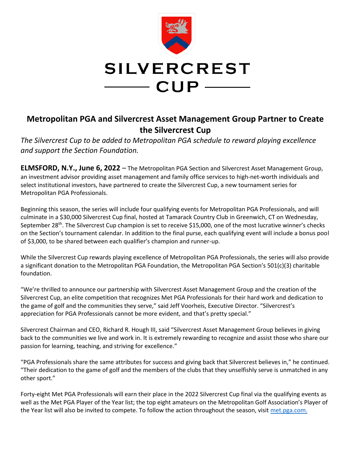

# **Metropolitan PGA and Silvercrest Asset Management Group Partner to Create the Silvercrest Cup**

*The Silvercrest Cup to be added to Metropolitan PGA schedule to reward playing excellence and support the Section Foundation.* 

**ELMSFORD, N.Y., June 6, 2022** – The Metropolitan PGA Section and Silvercrest Asset Management Group, an investment advisor providing asset management and family office services to high-net-worth individuals and select institutional investors, have partnered to create the Silvercrest Cup, a new tournament series for Metropolitan PGA Professionals.

Beginning this season, the series will include four qualifying events for Metropolitan PGA Professionals, and will culminate in a \$30,000 Silvercrest Cup final, hosted at Tamarack Country Club in Greenwich, CT on Wednesday, September 28<sup>th</sup>. The Silvercrest Cup champion is set to receive \$15,000, one of the most lucrative winner's checks on the Section's tournament calendar. In addition to the final purse, each qualifying event will include a bonus pool of \$3,000, to be shared between each qualifier's champion and runner-up.

While the Silvercrest Cup rewards playing excellence of Metropolitan PGA Professionals, the series will also provide a significant donation to the Metropolitan PGA Foundation, the Metropolitan PGA Section's 501(c)(3) charitable foundation.

"We're thrilled to announce our partnership with Silvercrest Asset Management Group and the creation of the Silvercrest Cup, an elite competition that recognizes Met PGA Professionals for their hard work and dedication to the game of golf and the communities they serve," said Jeff Voorheis, Executive Director. "Silvercrest's appreciation for PGA Professionals cannot be more evident, and that's pretty special."

Silvercrest Chairman and CEO, Richard R. Hough III, said "Silvercrest Asset Management Group believes in giving back to the communities we live and work in. It is extremely rewarding to recognize and assist those who share our passion for learning, teaching, and striving for excellence."

"PGA Professionals share the same attributes for success and giving back that Silvercrest believes in," he continued. "Their dedication to the game of golf and the members of the clubs that they unselfishly serve is unmatched in any other sport."

Forty-eight Met PGA Professionals will earn their place in the 2022 Silvercrest Cup final via the qualifying events as well as the Met PGA Player of the Year list; the top eight amateurs on the Metropolitan Golf Association's Player of the Year list will also be invited to compete. To follow the action throughout the season, visit [met.pga.com.](https://www.met.pga.com/)